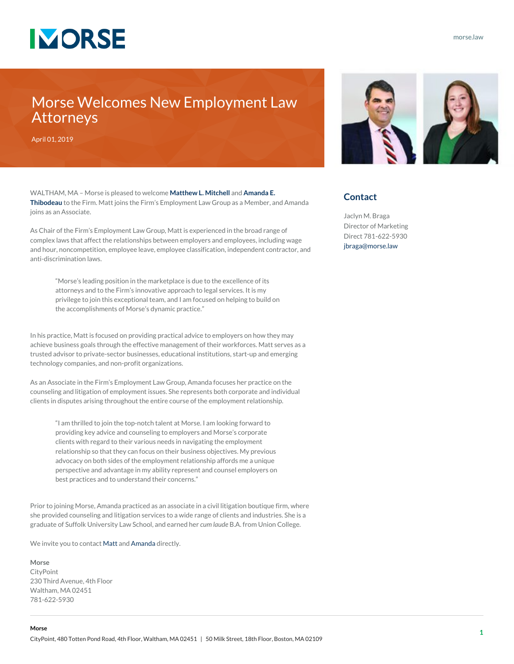

## Morse Welcomes New Employment Law Attorneys

April 01, 2019

WALTHAM, MA – Morse is pleased to welcome **[Matthew L. Mitchell](https://www.morse.law/attorneys/mitchell_matthew)** and **[Amanda E.](https://www.morse.law/attorneys/thibodeau_amanda) [Thibodeau](https://www.morse.law/attorneys/thibodeau_amanda)** to the Firm. Matt joins the Firm's Employment Law Group as a Member, and Amanda joins as an Associate.

As Chair of the Firm's Employment Law Group, Matt is experienced in the broad range of complex laws that affect the relationships between employers and employees, including wage and hour, noncompetition, employee leave, employee classification, independent contractor, and anti-discrimination laws.

"Morse's leading position in the marketplace is due to the excellence of its attorneys and to the Firm's innovative approach to legal services. It is my privilege to join this exceptional team, and I am focused on helping to build on the accomplishments of Morse's dynamic practice."

In his practice, Matt is focused on providing practical advice to employers on how they may achieve business goals through the effective management of their workforces. Matt serves as a trusted advisor to private-sector businesses, educational institutions, start-up and emerging technology companies, and non-profit organizations.

As an Associate in the Firm's Employment Law Group, Amanda focuses her practice on the counseling and litigation of employment issues. She represents both corporate and individual clients in disputes arising throughout the entire course of the employment relationship.

"I am thrilled to join the top-notch talent at Morse. I am looking forward to providing key advice and counseling to employers and Morse's corporate clients with regard to their various needs in navigating the employment relationship so that they can focus on their business objectives. My previous advocacy on both sides of the employment relationship affords me a unique perspective and advantage in my ability represent and counsel employers on best practices and to understand their concerns."

Prior to joining Morse, Amanda practiced as an associate in a civil litigation boutique firm, where she provided counseling and litigation services to a wide range of clients and industries. She is a graduate of Suffolk University Law School, and earned her *cum laude* B.A. from Union College.

We invite you to contact [Matt](https://www.morse.law/attorneys/mitchell_matthew) and [Amanda](https://www.morse.law/attorneys/thibodeau_amanda) directly.

## **Morse**

**Morse**

CityPoint 230 Third Avenue, 4th Floor Waltham, MA 02451 781-622-5930



## **Contact**

Jaclyn M. Braga Director of Marketing Direct 781-622-5930 [jbraga@morse.law](mailto:jbraga@morse.law)